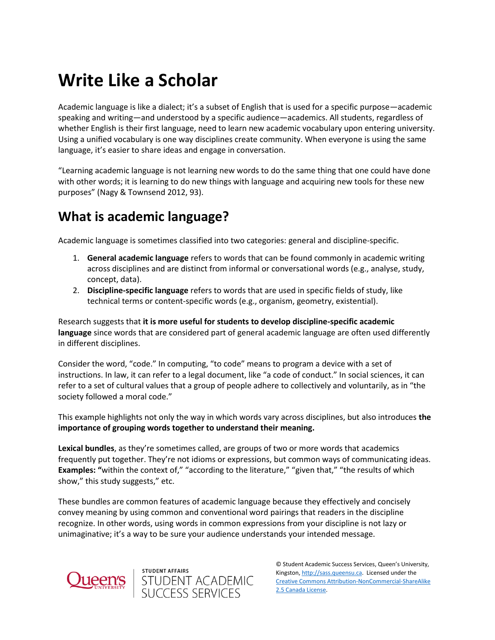# **Write Like a Scholar**

Academic language is like a dialect; it's a subset of English that is used for a specific purpose—academic speaking and writing—and understood by a specific audience—academics. All students, regardless of whether English is their first language, need to learn new academic vocabulary upon entering university. Using a unified vocabulary is one way disciplines create community. When everyone is using the same language, it's easier to share ideas and engage in conversation.

"Learning academic language is not learning new words to do the same thing that one could have done with other words; it is learning to do new things with language and acquiring new tools for these new purposes" (Nagy & Townsend 2012, 93).

# **What is academic language?**

Academic language is sometimes classified into two categories: general and discipline-specific.

- 1. **General academic language** refers to words that can be found commonly in academic writing across disciplines and are distinct from informal or conversational words (e.g., analyse, study, concept, data).
- 2. **Discipline-specific language** refers to words that are used in specific fields of study, like technical terms or content-specific words (e.g., organism, geometry, existential).

Research suggests that **it is more useful for students to develop discipline-specific academic language** since words that are considered part of general academic language are often used differently in different disciplines.

Consider the word, "code." In computing, "to code" means to program a device with a set of instructions. In law, it can refer to a legal document, like "a code of conduct." In social sciences, it can refer to a set of cultural values that a group of people adhere to collectively and voluntarily, as in "the society followed a moral code."

This example highlights not only the way in which words vary across disciplines, but also introduces **the importance of grouping words together to understand their meaning.**

**Lexical bundles**, as they're sometimes called, are groups of two or more words that academics frequently put together. They're not idioms or expressions, but common ways of communicating ideas. **Examples: "**within the context of," "according to the literature," "given that," "the results of which show," this study suggests," etc.

These bundles are common features of academic language because they effectively and concisely convey meaning by using common and conventional word pairings that readers in the discipline recognize. In other words, using words in common expressions from your discipline is not lazy or unimaginative; it's a way to be sure your audience understands your intended message.

student affairs<br>STUDENT ACADEMIC<br>SUCCESS SERVICES

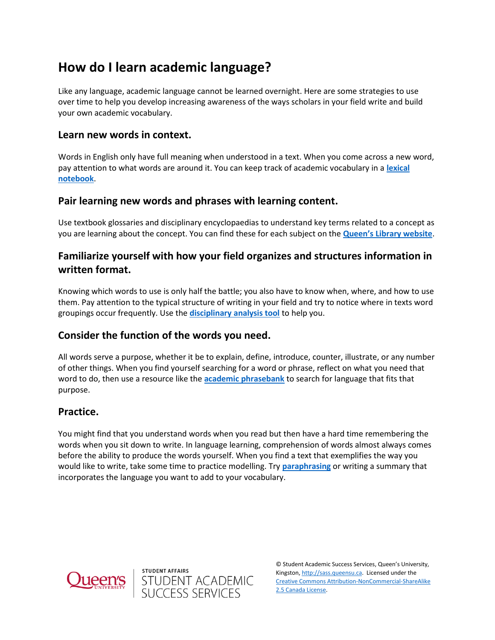# **How do I learn academic language?**

Like any language, academic language cannot be learned overnight. Here are some strategies to use over time to help you develop increasing awareness of the ways scholars in your field write and build your own academic vocabulary.

#### **Learn new words in context.**

Words in English only have full meaning when understood in a text. When you come across a new word, pay attention to what words are around it. You can keep track of academic vocabulary in a **[lexical](https://www.teachingenglish.org.uk/sites/teacheng/files/lex_note.pdf)  [notebook](https://www.teachingenglish.org.uk/sites/teacheng/files/lex_note.pdf)**.

#### **Pair learning new words and phrases with learning content.**

Use textbook glossaries and disciplinary encyclopaedias to understand key terms related to a concept as you are learning about the concept. You can find these for each subject on the **[Queen's Library website](https://library.queensu.ca/search/research-subject)**.

### **Familiarize yourself with how your field organizes and structures information in written format.**

Knowing which words to use is only half the battle; you also have to know when, where, and how to use them. Pay attention to the typical structure of writing in your field and try to notice where in texts word groupings occur frequently. Use the **[disciplinary analysis tool](https://sass.queensu.ca/wp-content/uploads/2019/07/Analyzing-Disciplinary-Expectations-Method.pdf)** to help you.

#### **Consider the function of the words you need.**

All words serve a purpose, whether it be to explain, define, introduce, counter, illustrate, or any number of other things. When you find yourself searching for a word or phrase, reflect on what you need that word to do, then use a resource like the **[academic phrasebank](https://www.phrasebank.manchester.ac.uk/)** to search for language that fits that purpose.

#### **Practice.**

You might find that you understand words when you read but then have a hard time remembering the words when you sit down to write. In language learning, comprehension of words almost always comes before the ability to produce the words yourself. When you find a text that exemplifies the way you would like to write, take some time to practice modelling. Try **[paraphrasing](https://sass.queensu.ca/wp-content/uploads/2019/04/Integrating-Sources.pdf)** or writing a summary that incorporates the language you want to add to your vocabulary.



STUDENT AFFAIRS<br>STUDENT ACADEMIC<br>SUCCESS SERVICES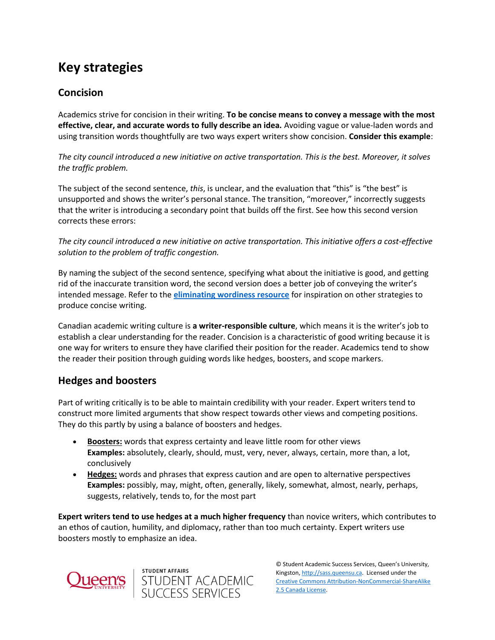# **Key strategies**

# **Concision**

Academics strive for concision in their writing. **To be concise means to convey a message with the most effective, clear, and accurate words to fully describe an idea.** Avoiding vague or value-laden words and using transition words thoughtfully are two ways expert writers show concision. **Consider this example**:

*The city council introduced a new initiative on active transportation. This is the best. Moreover, it solves the traffic problem.*

The subject of the second sentence, *this*, is unclear, and the evaluation that "this" is "the best" is unsupported and shows the writer's personal stance. The transition, "moreover," incorrectly suggests that the writer is introducing a secondary point that builds off the first. See how this second version corrects these errors:

*The city council introduced a new initiative on active transportation. This initiative offers a cost-effective solution to the problem of traffic congestion.*

By naming the subject of the second sentence, specifying what about the initiative is good, and getting rid of the inaccurate transition word, the second version does a better job of conveying the writer's intended message. Refer to the **[eliminating wordiness resource](https://wp3-dev.its.queensu.ca/ha/sasswww/resources/eliminating-wordiness)** for inspiration on other strategies to produce concise writing.

Canadian academic writing culture is **a writer-responsible culture**, which means it is the writer's job to establish a clear understanding for the reader. Concision is a characteristic of good writing because it is one way for writers to ensure they have clarified their position for the reader. Academics tend to show the reader their position through guiding words like hedges, boosters, and scope markers.

# **Hedges and boosters**

Part of writing critically is to be able to maintain credibility with your reader. Expert writers tend to construct more limited arguments that show respect towards other views and competing positions. They do this partly by using a balance of boosters and hedges.

- **Boosters:** words that express certainty and leave little room for other views **Examples:** absolutely, clearly, should, must, very, never, always, certain, more than, a lot, conclusively
- **Hedges:** words and phrases that express caution and are open to alternative perspectives **Examples:** possibly, may, might, often, generally, likely, somewhat, almost, nearly, perhaps, suggests, relatively, tends to, for the most part

**Expert writers tend to use hedges at a much higher frequency** than novice writers, which contributes to an ethos of caution, humility, and diplomacy, rather than too much certainty. Expert writers use boosters mostly to emphasize an idea.

student affairs<br>STUDENT ACADEMIC<br>SUCCESS SERVICES